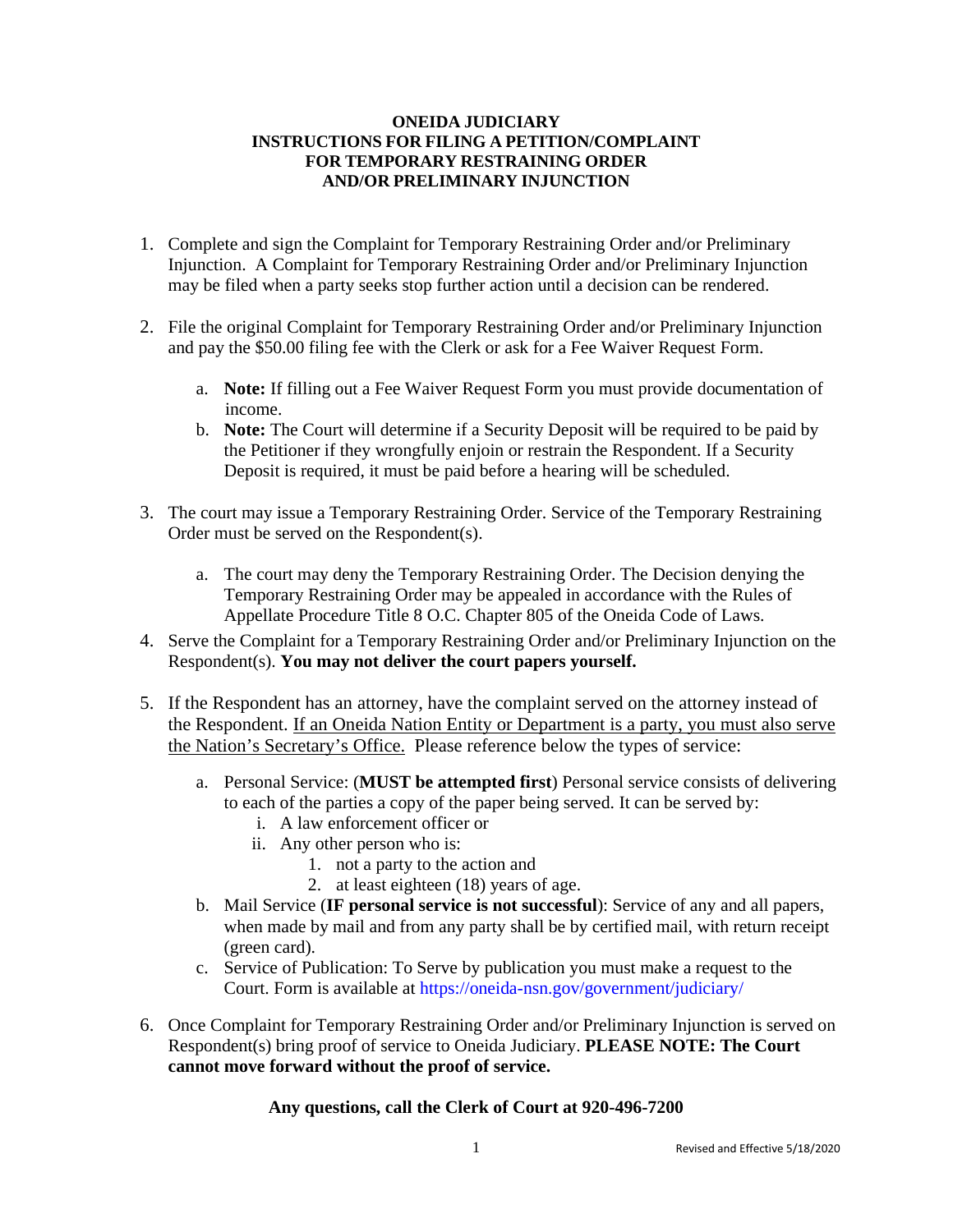#### **ONEIDA JUDICIARY INSTRUCTIONS FOR FILING A PETITION/COMPLAINT FOR TEMPORARY RESTRAINING ORDER AND/OR PRELIMINARY INJUNCTION**

- 1. Complete and sign the Complaint for Temporary Restraining Order and/or Preliminary Injunction. A Complaint for Temporary Restraining Order and/or Preliminary Injunction may be filed when a party seeks stop further action until a decision can be rendered.
- 2. File the original Complaint for Temporary Restraining Order and/or Preliminary Injunction and pay the \$50.00 filing fee with the Clerk or ask for a Fee Waiver Request Form.
	- a. **Note:** If filling out a Fee Waiver Request Form you must provide documentation of income.
	- b. **Note:** The Court will determine if a Security Deposit will be required to be paid by the Petitioner if they wrongfully enjoin or restrain the Respondent. If a Security Deposit is required, it must be paid before a hearing will be scheduled.
- 3. The court may issue a Temporary Restraining Order. Service of the Temporary Restraining Order must be served on the Respondent(s).
	- a. The court may deny the Temporary Restraining Order. The Decision denying the Temporary Restraining Order may be appealed in accordance with the Rules of Appellate Procedure Title 8 O.C. Chapter 805 of the Oneida Code of Laws.
- 4. Serve the Complaint for a Temporary Restraining Order and/or Preliminary Injunction on the Respondent(s). **You may not deliver the court papers yourself.**
- 5. If the Respondent has an attorney, have the complaint served on the attorney instead of the Respondent. If an Oneida Nation Entity or Department is a party, you must also serve the Nation's Secretary's Office. Please reference below the types of service:
	- a. Personal Service: (**MUST be attempted first**) Personal service consists of delivering to each of the parties a copy of the paper being served. It can be served by:
		- i. A law enforcement officer or
		- ii. Any other person who is:
			- 1. not a party to the action and
			- 2. at least eighteen (18) years of age.
	- b. Mail Service (**IF personal service is not successful**): Service of any and all papers, when made by mail and from any party shall be by certified mail, with return receipt (green card).
	- c. Service of Publication: To Serve by publication you must make a request to the Court. Form is available at<https://oneida-nsn.gov/government/judiciary/>
- 6. Once Complaint for Temporary Restraining Order and/or Preliminary Injunction is served on Respondent(s) bring proof of service to Oneida Judiciary. **PLEASE NOTE: The Court cannot move forward without the proof of service.**

#### **Any questions, call the Clerk of Court at 920-496-7200**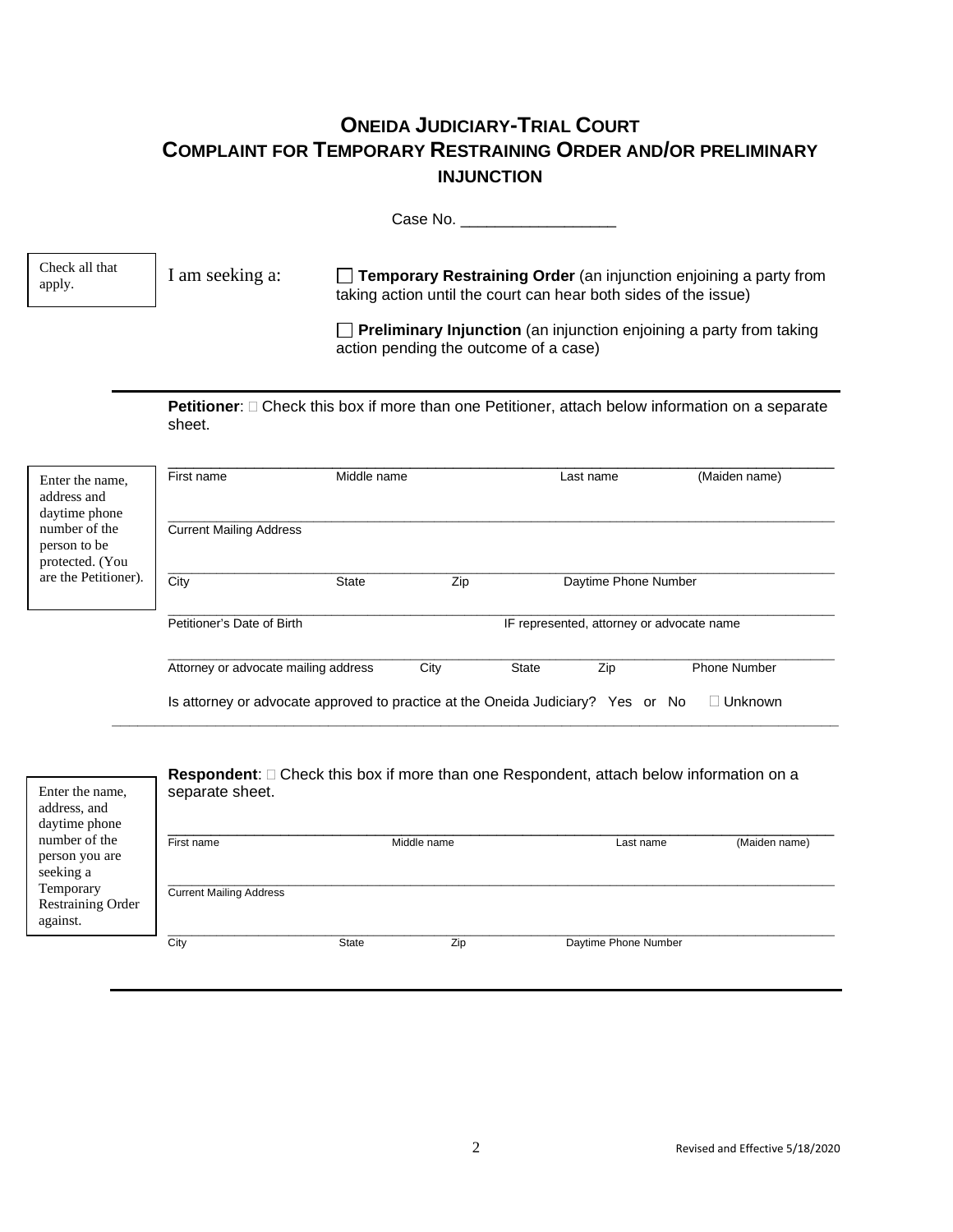## **ONEIDA JUDICIARY-TRIAL COURT COMPLAINT FOR TEMPORARY RESTRAINING ORDER AND/OR PRELIMINARY INJUNCTION**

Case No. \_\_\_\_\_\_\_\_\_\_\_\_\_\_\_\_\_\_

I am seeking a: **Temporary Restraining Order** (an injunction enjoining a party from taking action until the court can hear both sides of the issue) Check all that apply.

> **Preliminary Injunction** (an injunction enjoining a party from taking action pending the outcome of a case)

**Petitioner**:  $\Box$  Check this box if more than one Petitioner, attach below information on a separate sheet.

| Enter the name,<br>address and<br>daytime phone  | First name                                                                      | Middle name  |      |              | Last name                                 | (Maiden name)       |
|--------------------------------------------------|---------------------------------------------------------------------------------|--------------|------|--------------|-------------------------------------------|---------------------|
| number of the<br>person to be<br>protected. (You | <b>Current Mailing Address</b>                                                  |              |      |              |                                           |                     |
| are the Petitioner).                             | City                                                                            | <b>State</b> | Zip  |              | Daytime Phone Number                      |                     |
|                                                  | Petitioner's Date of Birth                                                      |              |      |              | IF represented, attorney or advocate name |                     |
|                                                  | Attorney or advocate mailing address                                            |              | City | <b>State</b> | Zip                                       | <b>Phone Number</b> |
|                                                  | Is attorney or advocate approved to practice at the Oneida Judiciary? Yes or No |              |      |              |                                           | Unknown             |

| Enter the name,<br>address, and<br>daytime phone  | separate sheet.                |              |             | Respondent: $\square$ Check this box if more than one Respondent, attach below information on a |               |
|---------------------------------------------------|--------------------------------|--------------|-------------|-------------------------------------------------------------------------------------------------|---------------|
| number of the<br>person you are<br>seeking a      | First name                     |              | Middle name | Last name                                                                                       | (Maiden name) |
| Temporary<br><b>Restraining Order</b><br>against. | <b>Current Mailing Address</b> |              |             |                                                                                                 |               |
|                                                   | City                           | <b>State</b> | Zip         | Daytime Phone Number                                                                            |               |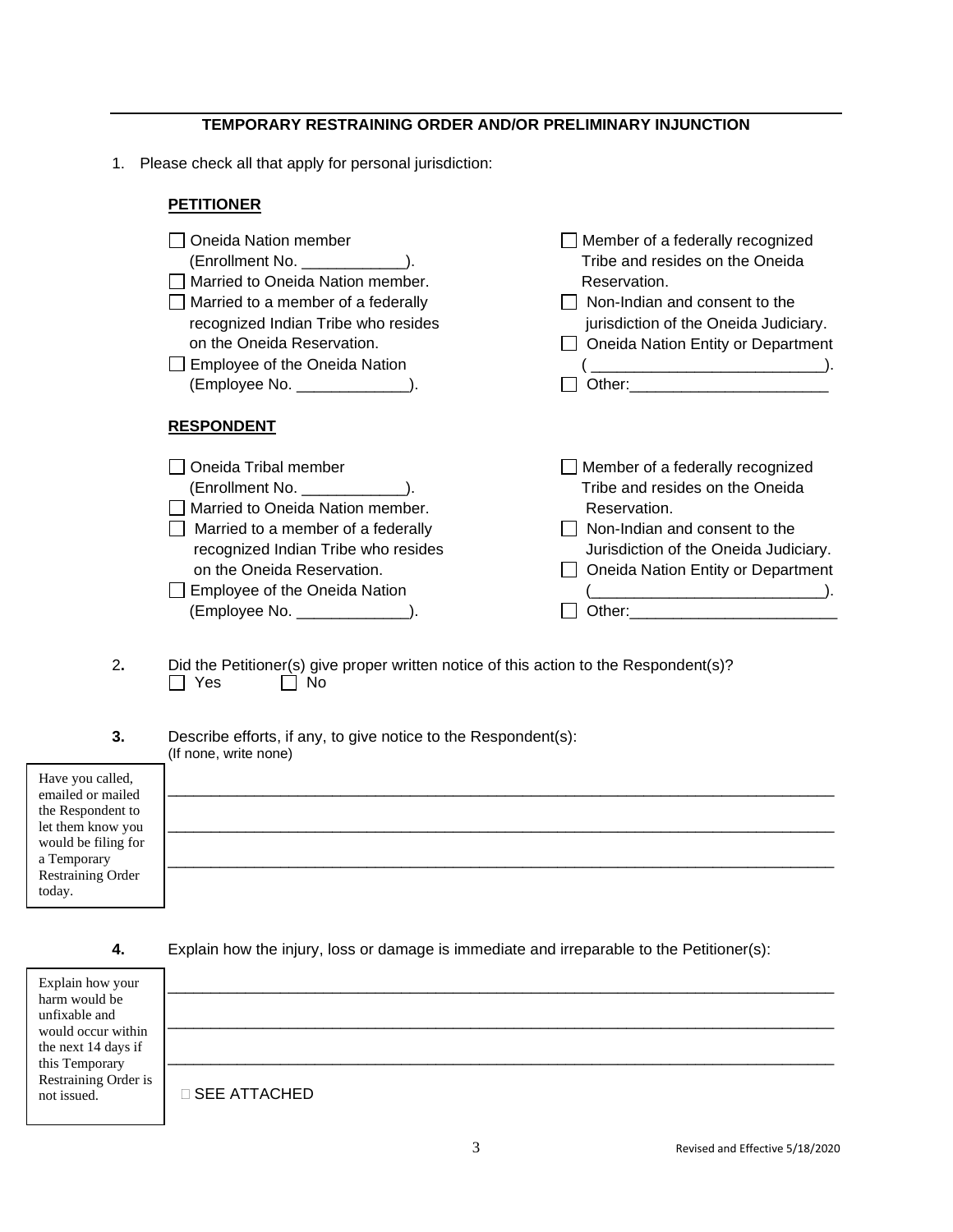#### **TEMPORARY RESTRAINING ORDER AND/OR PRELIMINARY INJUNCTION**

1. Please check all that apply for personal jurisdiction:

#### **PETITIONER**

| Oneida Nation member<br>$(Enrollment No. \_ \_ \_ \_ \_ \_ \_).$<br>Married to Oneida Nation member.<br>Married to a member of a federally<br>recognized Indian Tribe who resides<br>on the Oneida Reservation.<br>Employee of the Oneida Nation<br>(Employee No. _______________). | Member of a federally recognized<br>Tribe and resides on the Oneida<br>Reservation.<br>Non-Indian and consent to the<br>jurisdiction of the Oneida Judiciary.<br>Oneida Nation Entity or Department           |
|-------------------------------------------------------------------------------------------------------------------------------------------------------------------------------------------------------------------------------------------------------------------------------------|---------------------------------------------------------------------------------------------------------------------------------------------------------------------------------------------------------------|
| <b>RESPONDENT</b>                                                                                                                                                                                                                                                                   |                                                                                                                                                                                                               |
| Oneida Tribal member<br>$(Enrollment No. \_ \_ \_ \_ \_ \_ \_).$<br>Married to Oneida Nation member.<br>Married to a member of a federally<br>recognized Indian Tribe who resides<br>on the Oneida Reservation.<br>Employee of the Oneida Nation<br>(Employee No. ______________).  | Member of a federally recognized<br>Tribe and resides on the Oneida<br>Reservation.<br>Non-Indian and consent to the<br>Jurisdiction of the Oneida Judiciary.<br>Oneida Nation Entity or Department<br>Other: |

- 2. Did the Petitioner(s) give proper written notice of this action to the Respondent(s)?<br>
T Yes 
D No  $\Box$  No
- **3.** Describe efforts, if any, to give notice to the Respondent(s): (If none, write none)

| Have you called,<br>emailed or mailed    |  |  |  |
|------------------------------------------|--|--|--|
| the Respondent to                        |  |  |  |
| let them know you<br>would be filing for |  |  |  |
| a Temporary                              |  |  |  |
| Restraining Order<br>today.              |  |  |  |

**4.** Explain how the injury, loss or damage is immediate and irreparable to the Petitioner(s):

| Explain how your<br>harm would be<br>unfixable and<br>would occur within<br>the next 14 days if<br>this Temporary<br>Restraining Order is<br>not issued. | $\sqcap$ SEE ATTACHED |
|----------------------------------------------------------------------------------------------------------------------------------------------------------|-----------------------|
|----------------------------------------------------------------------------------------------------------------------------------------------------------|-----------------------|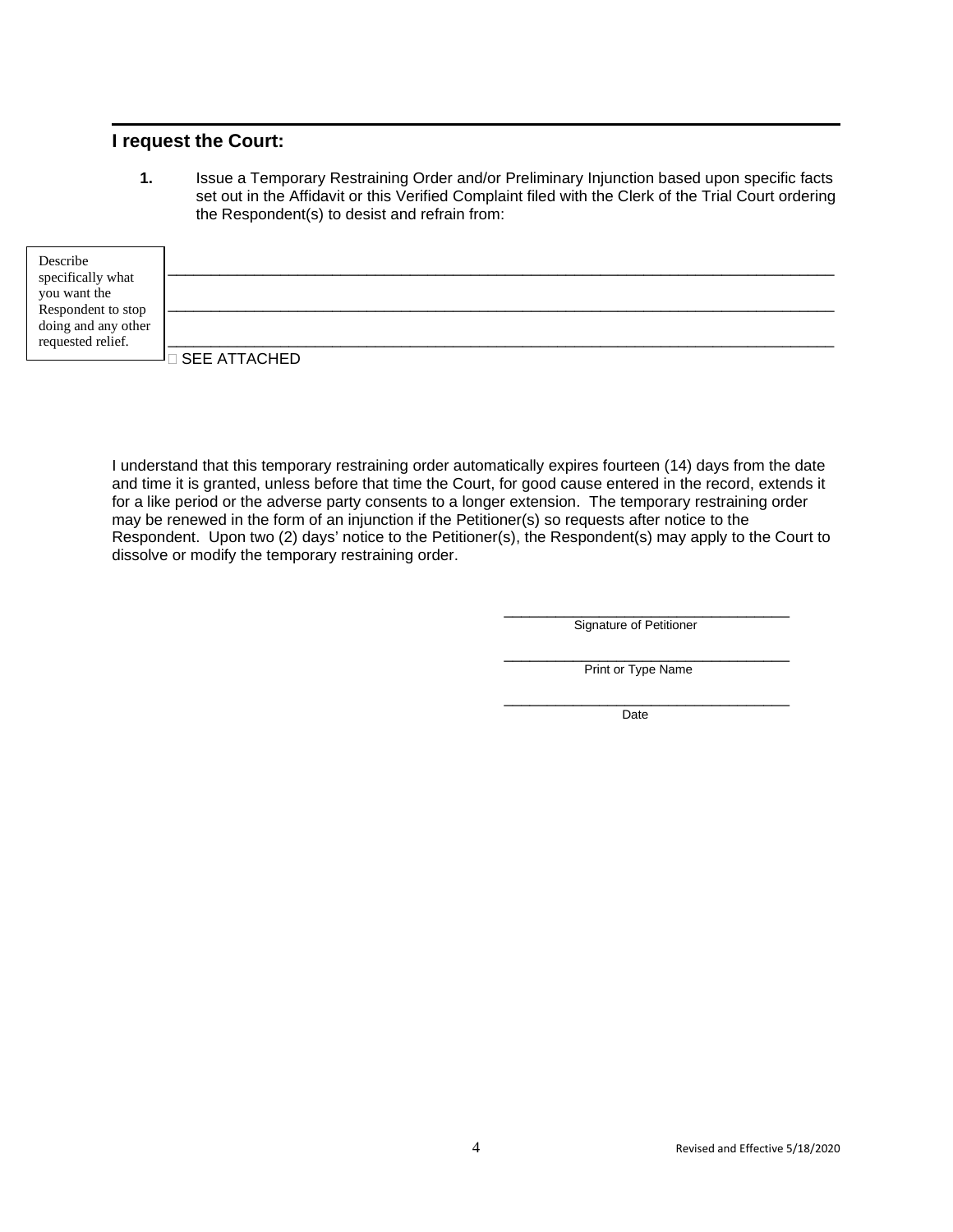### **I request the Court:**

**1.** Issue a Temporary Restraining Order and/or Preliminary Injunction based upon specific facts set out in the Affidavit or this Verified Complaint filed with the Clerk of the Trial Court ordering the Respondent(s) to desist and refrain from:

| Describe                          |                        |
|-----------------------------------|------------------------|
| specifically what<br>you want the |                        |
| Respondent to stop                |                        |
| doing and any other               |                        |
| requested relief.                 |                        |
|                                   | $\square$ SEE ATTACHED |

I understand that this temporary restraining order automatically expires fourteen (14) days from the date and time it is granted, unless before that time the Court, for good cause entered in the record, extends it for a like period or the adverse party consents to a longer extension. The temporary restraining order may be renewed in the form of an injunction if the Petitioner(s) so requests after notice to the Respondent. Upon two (2) days' notice to the Petitioner(s), the Respondent(s) may apply to the Court to dissolve or modify the temporary restraining order.

> \_\_\_\_\_\_\_\_\_\_\_\_\_\_\_\_\_\_\_\_\_\_\_\_\_\_\_\_\_\_\_\_\_ Signature of Petitioner

> \_\_\_\_\_\_\_\_\_\_\_\_\_\_\_\_\_\_\_\_\_\_\_\_\_\_\_\_\_\_\_\_\_ Print or Type Name

> \_\_\_\_\_\_\_\_\_\_\_\_\_\_\_\_\_\_\_\_\_\_\_\_\_\_\_\_\_\_\_\_\_ Date